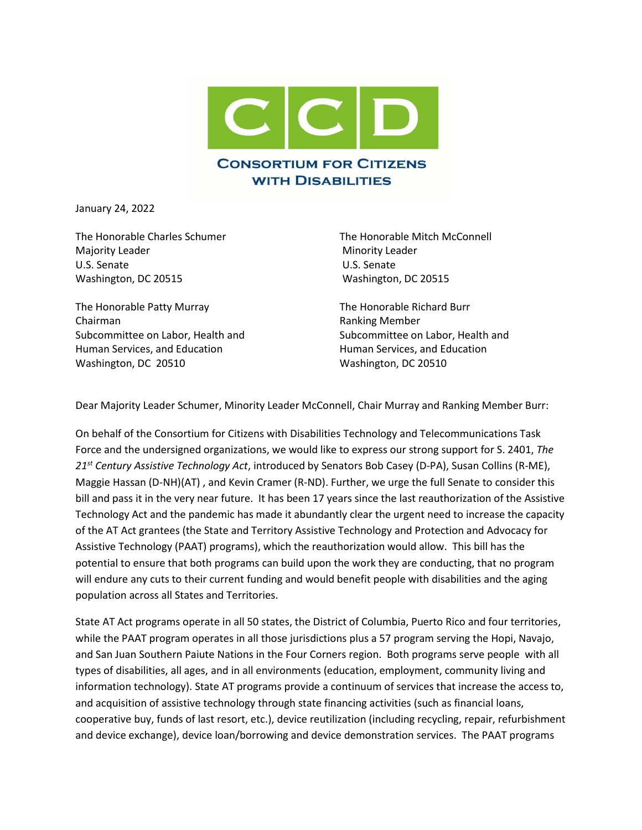

January 24, 2022

The Honorable Charles Schumer The Honorable Mitch McConnell Majority Leader **Minority Leader** Minority Leader U.S. Senate U.S. Senate Washington, DC 20515 Washington, DC 20515

The Honorable Patty Murray The Honorable Richard Burr Chairman Ranking Member Human Services, and Education **Human Services**, and Education Washington, DC 20510 Washington, DC 20510

Subcommittee on Labor, Health and Subcommittee on Labor, Health and

Dear Majority Leader Schumer, Minority Leader McConnell, Chair Murray and Ranking Member Burr:

On behalf of the Consortium for Citizens with Disabilities Technology and Telecommunications Task Force and the undersigned organizations, we would like to express our strong support for S. 2401, *The 21st Century Assistive Technology Act*, introduced by Senators Bob Casey (D-PA), Susan Collins (R-ME), Maggie Hassan (D-NH)(AT) , and Kevin Cramer (R-ND). Further, we urge the full Senate to consider this bill and pass it in the very near future. It has been 17 years since the last reauthorization of the Assistive Technology Act and the pandemic has made it abundantly clear the urgent need to increase the capacity of the AT Act grantees (the State and Territory Assistive Technology and Protection and Advocacy for Assistive Technology (PAAT) programs), which the reauthorization would allow. This bill has the potential to ensure that both programs can build upon the work they are conducting, that no program will endure any cuts to their current funding and would benefit people with disabilities and the aging population across all States and Territories.

State AT Act programs operate in all 50 states, the District of Columbia, Puerto Rico and four territories, while the PAAT program operates in all those jurisdictions plus a 57 program serving the Hopi, Navajo, and San Juan Southern Paiute Nations in the Four Corners region. Both programs serve people with all types of disabilities, all ages, and in all environments (education, employment, community living and information technology). State AT programs provide a continuum of services that increase the access to, and acquisition of assistive technology through state financing activities (such as financial loans, cooperative buy, funds of last resort, etc.), device reutilization (including recycling, repair, refurbishment and device exchange), device loan/borrowing and device demonstration services. The PAAT programs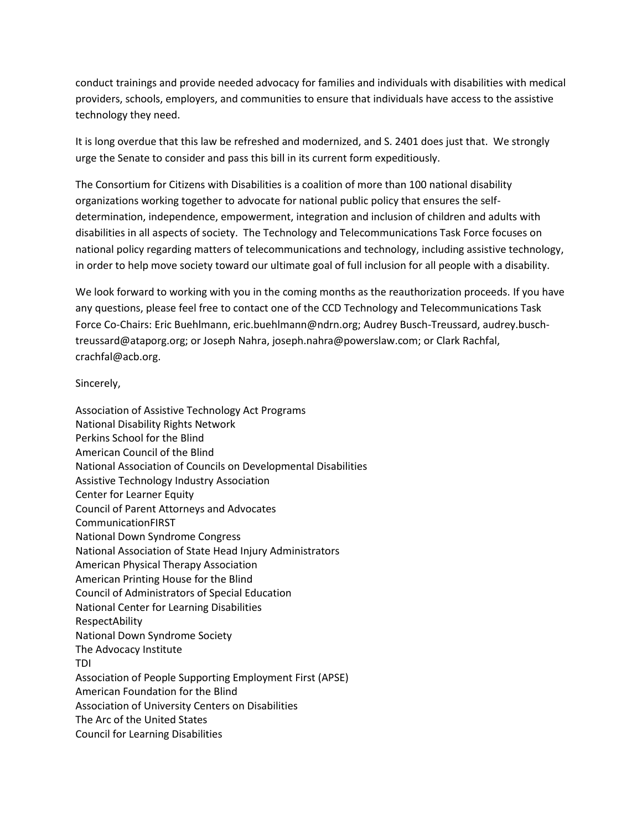conduct trainings and provide needed advocacy for families and individuals with disabilities with medical providers, schools, employers, and communities to ensure that individuals have access to the assistive technology they need.

It is long overdue that this law be refreshed and modernized, and S. 2401 does just that. We strongly urge the Senate to consider and pass this bill in its current form expeditiously.

The Consortium for Citizens with Disabilities is a coalition of more than 100 national disability organizations working together to advocate for national public policy that ensures the selfdetermination, independence, empowerment, integration and inclusion of children and adults with disabilities in all aspects of society. The Technology and Telecommunications Task Force focuses on national policy regarding matters of telecommunications and technology, including assistive technology, in order to help move society toward our ultimate goal of full inclusion for all people with a disability.

We look forward to working with you in the coming months as the reauthorization proceeds. If you have any questions, please feel free to contact one of the CCD Technology and Telecommunications Task Force Co-Chairs: Eric Buehlmann, eric.buehlmann@ndrn.org; Audrey Busch-Treussard, audrey.buschtreussard@ataporg.org; or Joseph Nahra, joseph.nahra@powerslaw.com; or Clark Rachfal, crachfal@acb.org.

Sincerely,

Association of Assistive Technology Act Programs National Disability Rights Network Perkins School for the Blind American Council of the Blind National Association of Councils on Developmental Disabilities Assistive Technology Industry Association Center for Learner Equity Council of Parent Attorneys and Advocates CommunicationFIRST National Down Syndrome Congress National Association of State Head Injury Administrators American Physical Therapy Association American Printing House for the Blind Council of Administrators of Special Education National Center for Learning Disabilities RespectAbility National Down Syndrome Society The Advocacy Institute TDI Association of People Supporting Employment First (APSE) American Foundation for the Blind Association of University Centers on Disabilities The Arc of the United States Council for Learning Disabilities